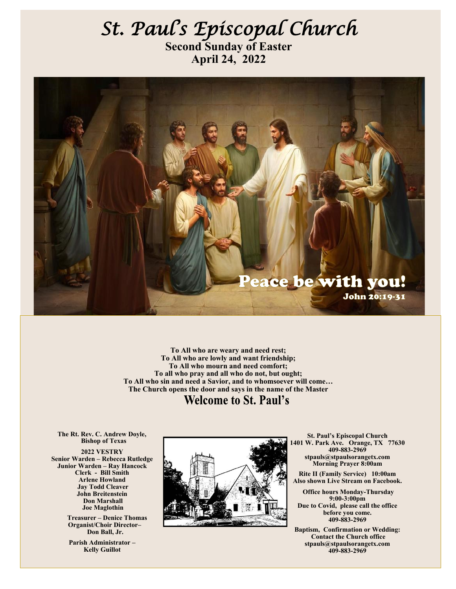# *St. Paul's Episcopal Church*  **Second Sunday of Easter April 24, 2022**



**To All who are weary and need rest; To All who are lowly and want friendship; To All who mourn and need comfort; To all who pray and all who do not, but ought; To All who sin and need a Savior, and to whomsoever will come… The Church opens the door and says in the name of the Master**

## **Welcome to St. Paul's**

 **The Rt. Rev. C. Andrew Doyle, Bishop of Texas** 

**2022 VESTRY Senior Warden – Rebecca Rutledge Junior Warden – Ray Hancock Clerk - Bill Smith Arlene Howland Jay Todd Cleaver John Breitenstein Don Marshall Joe Maglothin** 

> **Treasurer – Denice Thomas Organist/Choir Director– Don Ball, Jr.**

**Parish Administrator – Kelly Guillot**



**St. Paul's Episcopal Church 1401 W. Park Ave. Orange, TX 77630 409-883-2969 stpauls@stpaulsorangetx.com Morning Prayer 8:00am**

**Rite II (Family Service) 10:00am Also shown Live Stream on Facebook.**

 **Office hours Monday-Thursday 9:00-3:00pm Due to Covid, please call the office before you come. 409-883-2969**

**Baptism, Confirmation or Wedding: Contact the Church office stpauls@stpaulsorangetx.com 409-883-2969**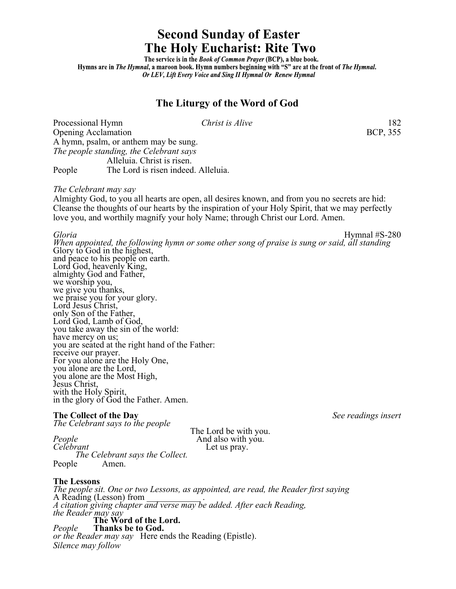## **Second Sunday of Easter The Holy Eucharist: Rite Two**

The service is in the Book of Common Prayer (BCP), a blue book. Hymns are in *The Hymnal*, a maroon book. Hymn numbers beginning with "S" are at the front of *The Hymnal*. Or LEV, Lift Every Voice and Sing II Hymnal Or Renew Hymnal

### **The Liturgy of the Word of God**

Processional Hymn *Christ is Alive* 182 Opening Acclamation BCP, 355 A hymn, psalm, or anthem may be sung. *The people standing, the Celebrant says*  Alleluia. Christ is risen. People The Lord is risen indeed. Alleluia.

*The Celebrant may say* 

Almighty God, to you all hearts are open, all desires known, and from you no secrets are hid: Cleanse the thoughts of our hearts by the inspiration of your Holy Spirit, that we may perfectly love you, and worthily magnify your holy Name; through Christ our Lord. Amen.

*Gloria* Hymnal #S-280 *When appointed, the following hymn or some other song of praise is sung or said, all standing*  Glory to God in the highest, and peace to his people on earth. Lord God, heavenly King, almighty God and Father, we worship you, we give you thanks, we praise you for your glory. Lord Jesus Christ, only Son of the Father, Lord God, Lamb of God, you take away the sin of the world: have mercy on us; you are seated at the right hand of the Father: receive our prayer. For you alone are the Holy One, you alone are the Lord, you alone are the Most High, Jesus Christ, with the Holy Spirit, in the glory of God the Father. Amen.

#### **The Collect of the Day** *See readings insert*

*The Celebrant says to the people* 

The Lord be with you.<br>People had also with you.<br>And also with you. Let us pray.

*People* **And also with you.**<br>Celebrant **Celebrant And also with you.**  *The Celebrant says the Collect.*  People Amen.

#### **The Lessons**

*The people sit. One or two Lessons, as appointed, are read, the Reader first saying* A Reading (Lesson) from *A citation giving chapter and verse may be added. After each Reading, the Reader may say* **The Word of the Lord.**  *People* **Thanks be to God.**  *or the Reader may say* Here ends the Reading (Epistle). *Silence may follow*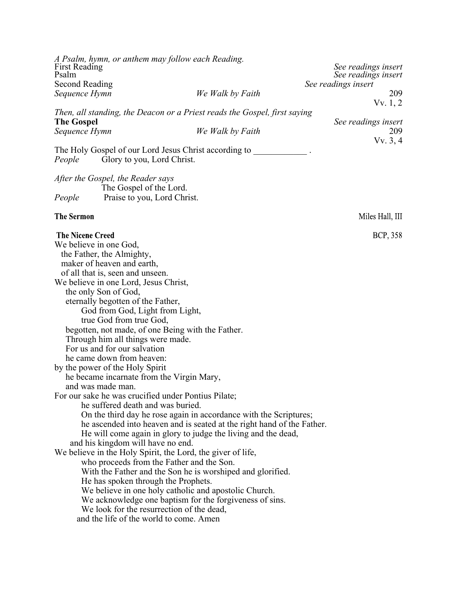| A Psalm, hymn, or anthem may follow each Reading.                         |                                                                        |                            |
|---------------------------------------------------------------------------|------------------------------------------------------------------------|----------------------------|
| First Reading<br>Psalm                                                    |                                                                        | See readings insert        |
|                                                                           |                                                                        | See readings insert        |
| <b>Second Reading</b>                                                     |                                                                        | See readings insert<br>209 |
| Sequence Hymn                                                             | We Walk by Faith                                                       |                            |
| Then, all standing, the Deacon or a Priest reads the Gospel, first saying |                                                                        | Vv. 1, 2                   |
| <b>The Gospel</b>                                                         |                                                                        |                            |
| Sequence Hymn                                                             | We Walk by Faith                                                       | See readings insert<br>209 |
|                                                                           |                                                                        | Vv. 3, 4                   |
| The Holy Gospel of our Lord Jesus Christ according to                     |                                                                        |                            |
| Glory to you, Lord Christ.<br>People                                      |                                                                        |                            |
|                                                                           |                                                                        |                            |
| After the Gospel, the Reader says                                         |                                                                        |                            |
| The Gospel of the Lord.                                                   |                                                                        |                            |
| Praise to you, Lord Christ.<br>People                                     |                                                                        |                            |
|                                                                           |                                                                        |                            |
| <b>The Sermon</b>                                                         |                                                                        | Miles Hall, III            |
|                                                                           |                                                                        |                            |
| <b>The Nicene Creed</b>                                                   |                                                                        | <b>BCP, 358</b>            |
| We believe in one God,                                                    |                                                                        |                            |
| the Father, the Almighty,                                                 |                                                                        |                            |
| maker of heaven and earth,                                                |                                                                        |                            |
| of all that is, seen and unseen.                                          |                                                                        |                            |
| We believe in one Lord, Jesus Christ,                                     |                                                                        |                            |
| the only Son of God,                                                      |                                                                        |                            |
| eternally begotten of the Father,                                         |                                                                        |                            |
| God from God, Light from Light,                                           |                                                                        |                            |
| true God from true God,                                                   |                                                                        |                            |
| begotten, not made, of one Being with the Father.                         |                                                                        |                            |
| Through him all things were made.                                         |                                                                        |                            |
| For us and for our salvation                                              |                                                                        |                            |
| he came down from heaven:                                                 |                                                                        |                            |
| by the power of the Holy Spirit                                           |                                                                        |                            |
| he became incarnate from the Virgin Mary,                                 |                                                                        |                            |
| and was made man.                                                         |                                                                        |                            |
| For our sake he was crucified under Pontius Pilate;                       |                                                                        |                            |
| he suffered death and was buried.                                         |                                                                        |                            |
|                                                                           | On the third day he rose again in accordance with the Scriptures;      |                            |
|                                                                           | he ascended into heaven and is seated at the right hand of the Father. |                            |
|                                                                           | He will come again in glory to judge the living and the dead,          |                            |
| and his kingdom will have no end.                                         |                                                                        |                            |
| We believe in the Holy Spirit, the Lord, the giver of life,               |                                                                        |                            |
| who proceeds from the Father and the Son.                                 |                                                                        |                            |
| With the Father and the Son he is worshiped and glorified.                |                                                                        |                            |
| He has spoken through the Prophets.                                       |                                                                        |                            |
| We believe in one holy catholic and apostolic Church.                     |                                                                        |                            |
| We acknowledge one baptism for the forgiveness of sins.                   |                                                                        |                            |
| We look for the resurrection of the dead,                                 |                                                                        |                            |
| and the life of the world to come. Amen                                   |                                                                        |                            |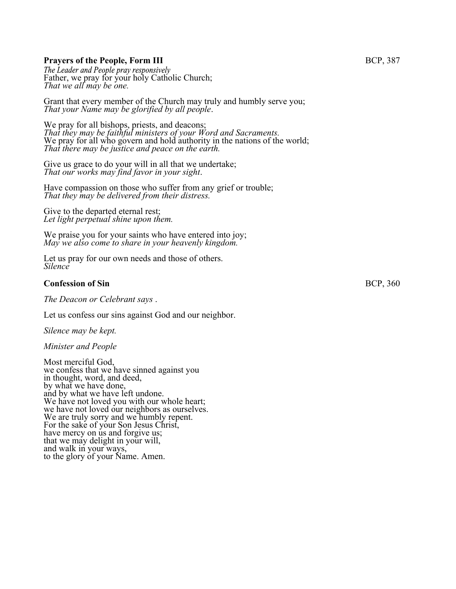#### **Prayers of the People, Form III** BCP, 387

The Leader and People pray responsively Father, we pray for your holy Catholic Church; *That we all may be one.* 

Grant that every member of the Church may truly and humbly serve you; *That your Name may be glorified by all people*.

We pray for all bishops, priests, and deacons; *That they may be faithful ministers of your Word and Sacraments.*  We pray for all who govern and hold authority in the nations of the world; *That there may be justice and peace on the earth.* 

Give us grace to do your will in all that we undertake; *That our works may find favor in your sight*.

Have compassion on those who suffer from any grief or trouble; *That they may be delivered from their distress.* 

Give to the departed eternal rest; *Let light perpetual shine upon them.* 

We praise you for your saints who have entered into joy; *May we also come to share in your heavenly kingdom.* 

Let us pray for our own needs and those of others. *Silence* 

#### **Confession of Sin** BCP, 360

*The Deacon or Celebrant says* .

Let us confess our sins against God and our neighbor.

*Silence may be kept.* 

*Minister and People* 

Most merciful God, we confess that we have sinned against you in thought, word, and deed, by what we have done, and by what we have left undone. We have not loved you with our whole heart; we have not loved our neighbors as ourselves. We are truly sorry and we humbly repent. For the sake of your Son Jesus Christ, have mercy on us and forgive us; that we may delight in your will, and walk in your ways, to the glory of your Name. Amen.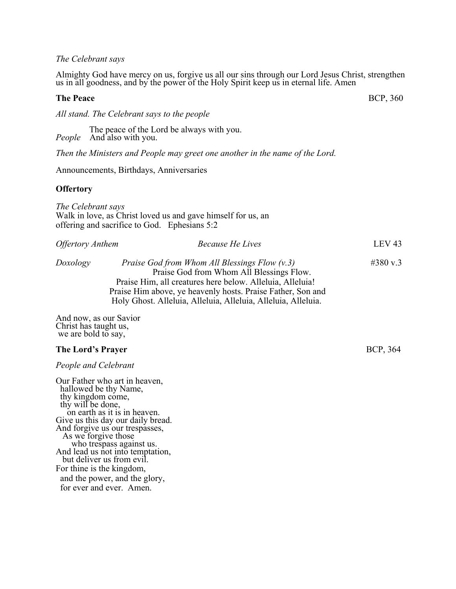#### *The Celebrant says*

Almighty God have mercy on us, forgive us all our sins through our Lord Jesus Christ, strengthen us in all goodness, and by the power of the Holy Spirit keep us in eternal life. Amen

#### **The Peace** BCP, 360

*All stand. The Celebrant says to the people* 

**The peace of the Lord be always with you.** *People* And also with you.

*Then the Ministers and People may greet one another in the name of the Lord.* 

Announcements, Birthdays, Anniversaries

#### **Offertory**

*The Celebrant says*  Walk in love, as Christ loved us and gave himself for us, an offering and sacrifice to God. Ephesians 5:2

| <b>Offertory Anthem</b>                                                                                                                                                                                                                         | <b>Because He Lives</b>                                                                                                                                                                                                                                                                       | LEV <sub>43</sub> |
|-------------------------------------------------------------------------------------------------------------------------------------------------------------------------------------------------------------------------------------------------|-----------------------------------------------------------------------------------------------------------------------------------------------------------------------------------------------------------------------------------------------------------------------------------------------|-------------------|
| Doxology                                                                                                                                                                                                                                        | <i>Praise God from Whom All Blessings Flow (v.3)</i><br>Praise God from Whom All Blessings Flow.<br>Praise Him, all creatures here below. Alleluia, Alleluia!<br>Praise Him above, ye heavenly hosts. Praise Father, Son and<br>Holy Ghost. Alleluia, Alleluia, Alleluia, Alleluia, Alleluia. | #380 v.3          |
| And now, as our Savior<br>Christ has taught us,<br>we are bold to say,                                                                                                                                                                          |                                                                                                                                                                                                                                                                                               |                   |
| The Lord's Prayer                                                                                                                                                                                                                               |                                                                                                                                                                                                                                                                                               | BCP, 364          |
| People and Celebrant                                                                                                                                                                                                                            |                                                                                                                                                                                                                                                                                               |                   |
| Our Father who art in heaven,<br>hallowed be thy Name,<br>thy kingdom come,<br>thy will be done,<br>And forgive us our trespasses,<br>As we forgive those<br>but deliver us from evil.<br>For thine is the kingdom,<br>for ever and ever. Amen. | on earth as it is in heaven.<br>Give us this day our daily bread.<br>who trespass against us.<br>And lead us not into temptation,<br>and the power, and the glory,                                                                                                                            |                   |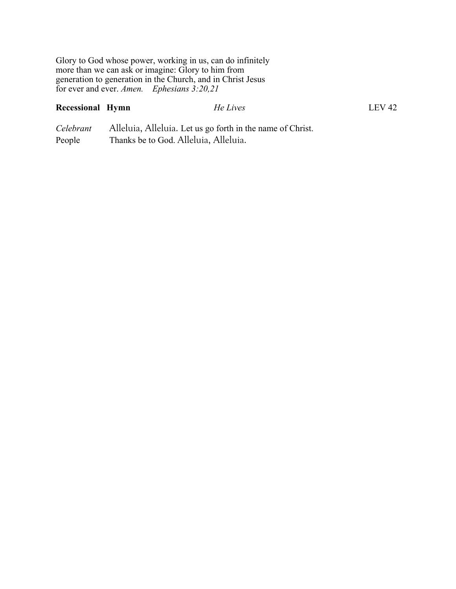Glory to God whose power, working in us, can do infinitely more than we can ask or imagine: Glory to him from generation to generation in the Church, and in Christ Jesus for ever and ever. *Amen. Ephesians 3:20,21*

| <b>Recessional Hymn</b> |                                                                       | He Lives                                                   | LEV 42 |
|-------------------------|-----------------------------------------------------------------------|------------------------------------------------------------|--------|
| Celebrant               |                                                                       | Alleluia, Alleluia. Let us go forth in the name of Christ. |        |
| $\mathbf{r}$ 1          | $-$ mu 1 1 $\sim$ $-$ 1 $\lambda$ 11 1 $\cdot$ $\lambda$ 11 1 $\cdot$ |                                                            |        |

People Thanks be to God. Alleluia, Alleluia.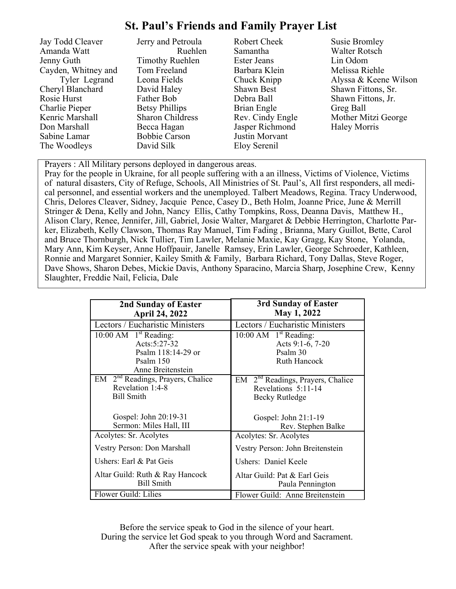## **St. Paul's Friends and Family Prayer List**

| Jerry and Petroula      | Robert Cheek     | <b>Susie Bromley</b>  |
|-------------------------|------------------|-----------------------|
| Ruehlen                 | Samantha         | Walter Rotsch         |
| <b>Timothy Ruehlen</b>  | Ester Jeans      | Lin Odom              |
| Tom Freeland            | Barbara Klein    | Melissa Riehle        |
| Leona Fields            | Chuck Knipp      | Alyssa & Keene Wilson |
| David Haley             | Shawn Best       | Shawn Fittons, Sr.    |
| Father Bob              | Debra Ball       | Shawn Fittons, Jr.    |
| Betsy Phillips          | Brian Engle      | Greg Ball             |
| <b>Sharon Childress</b> | Rev. Cindy Engle | Mother Mitzi George   |
| Becca Hagan             | Jasper Richmond  | <b>Haley Morris</b>   |
| <b>Bobbie Carson</b>    | Justin Morvant   |                       |
| David Silk              | Eloy Serenil     |                       |
|                         |                  |                       |

Prayers : All Military persons deployed in dangerous areas.

Pray for the people in Ukraine, for all people suffering with a an illness, Victims of Violence, Victims of natural disasters, City of Refuge, Schools, All Ministries of St. Paul's, All first responders, all medical personnel, and essential workers and the unemployed. Talbert Meadows, Regina. Tracy Underwood, Chris, Delores Cleaver, Sidney, Jacquie Pence, Casey D., Beth Holm, Joanne Price, June & Merrill Stringer & Dena, Kelly and John, Nancy Ellis, Cathy Tompkins, Ross, Deanna Davis, Matthew H., Alison Clary, Renee, Jennifer, Jill, Gabriel, Josie Walter, Margaret & Debbie Herrington, Charlotte Parker, Elizabeth, Kelly Clawson, Thomas Ray Manuel, Tim Fading , Brianna, Mary Guillot, Bette, Carol and Bruce Thornburgh, Nick Tullier, Tim Lawler, Melanie Maxie, Kay Gragg, Kay Stone, Yolanda, Mary Ann, Kim Keyser, Anne Hoffpauir, Janelle Ramsey, Erin Lawler, George Schroeder, Kathleen, Ronnie and Margaret Sonnier, Kailey Smith & Family, Barbara Richard, Tony Dallas, Steve Roger, Dave Shows, Sharon Debes, Mickie Davis, Anthony Sparacino, Marcia Sharp, Josephine Crew, Kenny Slaughter, Freddie Nail, Felicia, Dale

| 2nd Sunday of Easter<br><b>April 24, 2022</b>              | 3rd Sunday of Easter<br>May 1, 2022              |
|------------------------------------------------------------|--------------------------------------------------|
| Lectors / Eucharistic Ministers                            | Lectors / Eucharistic Ministers                  |
| 10:00 AM $1st$ Reading:                                    | 10:00 AM $1st$ Reading:                          |
| Acts: 5:27-32                                              | Acts 9:1-6, 7-20                                 |
| Psalm $118:14-29$ or                                       | Psalm 30                                         |
| Psalm $150$                                                | Ruth Hancock                                     |
| Anne Breitenstein                                          |                                                  |
| $\overline{EM}$ 2 <sup>nd</sup> Readings, Prayers, Chalice | EM 2 <sup>nd</sup> Readings, Prayers, Chalice    |
| Revelation 1:4-8                                           | Revelations 5:11-14                              |
| <b>Bill Smith</b>                                          | Becky Rutledge                                   |
|                                                            |                                                  |
| Gospel: John 20:19-31                                      | Gospel: John $21:1-19$                           |
| Sermon: Miles Hall, III                                    | Rev. Stephen Balke                               |
| Acolytes: Sr. Acolytes                                     | Acolytes: Sr. Acolytes                           |
| Vestry Person: Don Marshall                                | Vestry Person: John Breitenstein                 |
| Ushers: Earl & Pat Geis                                    | Ushers: Daniel Keele                             |
| Altar Guild: Ruth & Ray Hancock<br><b>Bill Smith</b>       | Altar Guild: Pat & Earl Geis<br>Paula Pennington |
| Flower Guild: Lilies                                       | Flower Guild: Anne Breitenstein                  |

Before the service speak to God in the silence of your heart. During the service let God speak to you through Word and Sacrament. After the service speak with your neighbor!